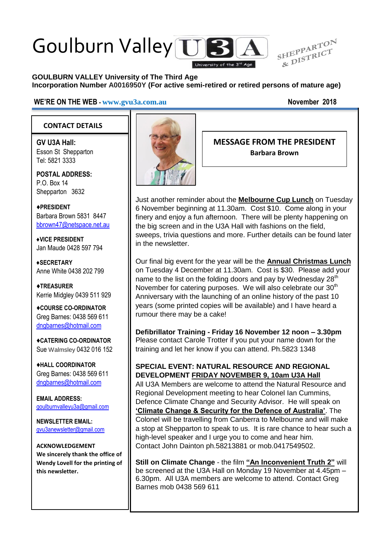# Goulburn Valley US



#### **GOULBURN VALLEY University of The Third Age Incorporation Number A0016950Y (For active semi-retired or retired persons of mature age)**

#### **WE'RE ON THE WEB - [www.gvu3a.com.au](http://www.gvu3a.com.au/) November 2018**

#### **CONTACT DETAILS**

**GV U3A Hall:** Esson St Shepparton Tel: 5821 3333

**POSTAL ADDRESS:** P.O. Box 14 Shepparton 3632

♦**PRESIDENT** Barbara Brown 5831 8447 [bbrown47@netspace.net.au](mailto:bbrown47@netspace.net.au)

**♦VICE PRESIDENT** Jan Maude 0428 597 794

**♦SECRETARY** Anne White 0438 202 799

♦**TREASURER** Kerrie Midgley 0439 511 929

♦**COURSE CO-ORDINATOR** Greg Barnes: 0438 569 611 [dngbarnes@hotmail.com](mailto:dngbarnes@hotmail.com)

♦**CATERING CO-ORDINATOR** Sue Walmsley 0432 016 152

♦**HALL COORDINATOR** Greg Barnes: 0438 569 611 [dngbarnes@hotmail.com](mailto:dngbarnes@hotmail.com)

**EMAIL ADDRESS:** [goulburnvalleyu3a@gmail.com](mailto:goulburnvalleyu3a@gmail.com)

**NEWSLETTER EMAIL:** [gvu3anewsletter@gmail.com](mailto:gvu3anewsletter@gmail.com)

**ACKNOWLEDGEMENT We sincerely thank the office of Wendy Lovell for the printing of this newsletter.**



**MESSAGE FROM THE PRESIDENT Barbara Brown**

Just another reminder about the **Melbourne Cup Lunch** on Tuesday 6 November beginning at 11.30am. Cost \$10. Come along in your finery and enjoy a fun afternoon. There will be plenty happening on the big screen and in the U3A Hall with fashions on the field, sweeps, trivia questions and more. Further details can be found later in the newsletter.

Our final big event for the year will be the **Annual Christmas Lunch** on Tuesday 4 December at 11.30am. Cost is \$30. Please add your name to the list on the folding doors and pay by Wednesday  $28<sup>th</sup>$ November for catering purposes. We will also celebrate our 30<sup>th</sup> Anniversary with the launching of an online history of the past 10 years (some printed copies will be available) and I have heard a rumour there may be a cake!

**Defibrillator Training - Friday 16 November 12 noon – 3.30pm** Please contact Carole Trotter if you put your name down for the training and let her know if you can attend. Ph.5823 1348

#### **SPECIAL EVENT: NATURAL RESOURCE AND REGIONAL DEVELOPMENT FRIDAY NOVEMBER 9, 10am U3A Hall**

All U3A Members are welcome to attend the Natural Resource and Regional Development meeting to hear Colonel Ian Cummins, Defence Climate Change and Security Advisor. He will speak on **'Climate Change & Security for the Defence of Australia'**. The Colonel will be travelling from Canberra to Melbourne and will make a stop at Shepparton to speak to us. It is rare chance to hear such a high-level speaker and I urge you to come and hear him. Contact John Dainton ph.58213881 or mob.0417549502.

**Still on Climate Change** - the film **"An Inconvenient Truth 2"** will be screened at the U3A Hall on Monday 19 November at 4.45pm – 6.30pm. All U3A members are welcome to attend. Contact Greg Barnes mob 0438 569 611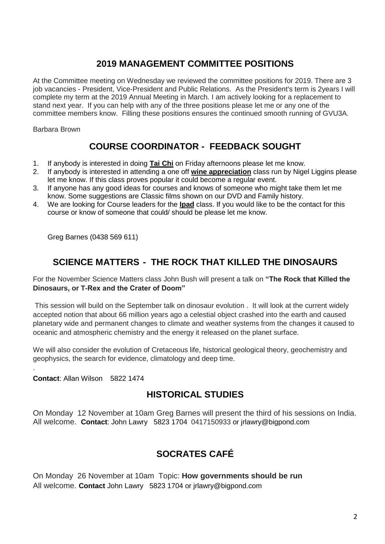## **2019 MANAGEMENT COMMITTEE POSITIONS**

At the Committee meeting on Wednesday we reviewed the committee positions for 2019. There are 3 job vacancies - President, Vice-President and Public Relations. As the President's term is 2years I will complete my term at the 2019 Annual Meeting in March. I am actively looking for a replacement to stand next year. If you can help with any of the three positions please let me or any one of the committee members know. Filling these positions ensures the continued smooth running of GVU3A.

Barbara Brown

# **COURSE COORDINATOR - FEEDBACK SOUGHT**

- 1. If anybody is interested in doing **Tai Chi** on Friday afternoons please let me know.
- 2. If anybody is interested in attending a one off **wine appreciation** class run by Nigel Liggins please let me know. If this class proves popular it could become a regular event.
- 3. If anyone has any good ideas for courses and knows of someone who might take them let me know. Some suggestions are Classic films shown on our DVD and Family history.
- 4. We are looking for Course leaders for the **Ipad** class. If you would like to be the contact for this course or know of someone that could/ should be please let me know.

Greg Barnes (0438 569 611)

# **SCIENCE MATTERS - THE ROCK THAT KILLED THE DINOSAURS**

For the November Science Matters class John Bush will present a talk on **"The Rock that Killed the Dinosaurs, or T-Rex and the Crater of Doom"**

This session will build on the September talk on dinosaur evolution . It will look at the current widely accepted notion that about 66 million years ago a celestial object crashed into the earth and caused planetary wide and permanent changes to climate and weather systems from the changes it caused to oceanic and atmospheric chemistry and the energy it released on the planet surface.

We will also consider the evolution of Cretaceous life, historical geological theory, geochemistry and geophysics, the search for evidence, climatology and deep time.

**Contact**: Allan Wilson 5822 1474

.

## **HISTORICAL STUDIES**

On Monday 12 November at 10am Greg Barnes will present the third of his sessions on India. All welcome. **Contact**: John Lawry 5823 1704 0417150933 or jrlawry@bigpond.com

# **SOCRATES CAFÉ**

On Monday 26 November at 10am Topic: **How governments should be run** All welcome. **Contact** John Lawry 5823 1704 or jrlawry@bigpond.com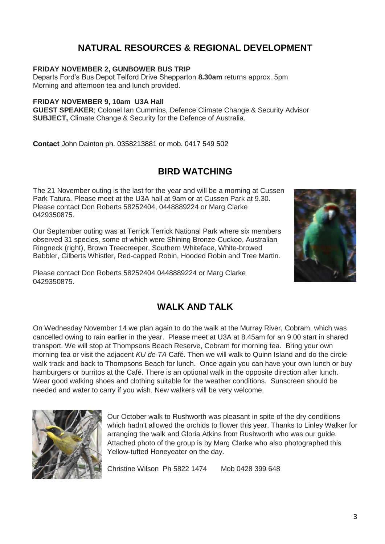## **NATURAL RESOURCES & REGIONAL DEVELOPMENT**

#### **FRIDAY NOVEMBER 2, GUNBOWER BUS TRIP**

Departs Ford's Bus Depot Telford Drive Shepparton **8.30am** returns approx. 5pm Morning and afternoon tea and lunch provided.

#### **FRIDAY NOVEMBER 9, 10am U3A Hall**

**GUEST SPEAKER**; Colonel Ian Cummins, Defence Climate Change & Security Advisor **SUBJECT,** Climate Change & Security for the Defence of Australia.

**Contact** John Dainton ph. 0358213881 or mob. 0417 549 502

### **BIRD WATCHING**

The 21 November outing is the last for the year and will be a morning at Cussen Park Tatura. Please meet at the U3A hall at 9am or at Cussen Park at 9.30. Please contact Don Roberts 58252404, 0448889224 or Marg Clarke 0429350875.

Our September outing was at Terrick Terrick National Park where six members observed 31 species, some of which were Shining Bronze-Cuckoo, Australian Ringneck (right), Brown Treecreeper, Southern Whiteface, White-browed Babbler, Gilberts Whistler, Red-capped Robin, Hooded Robin and Tree Martin.

Please contact Don Roberts 58252404 0448889224 or Marg Clarke 0429350875.



#### **WALK AND TALK**

On Wednesday November 14 we plan again to do the walk at the Murray River, Cobram, which was cancelled owing to rain earlier in the year. Please meet at U3A at 8.45am for an 9.00 start in shared transport. We will stop at Thompsons Beach Reserve, Cobram for morning tea. Bring your own morning tea or visit the adjacent *KU de TA* Café. Then we will walk to Quinn Island and do the circle walk track and back to Thompsons Beach for lunch. Once again you can have your own lunch or buy hamburgers or burritos at the Café. There is an optional walk in the opposite direction after lunch. Wear good walking shoes and clothing suitable for the weather conditions. Sunscreen should be needed and water to carry if you wish. New walkers will be very welcome.



Our October walk to Rushworth was pleasant in spite of the dry conditions which hadn't allowed the orchids to flower this year. Thanks to Linley Walker for arranging the walk and Gloria Atkins from Rushworth who was our guide. Attached photo of the group is by Marg Clarke who also photographed this Yellow-tufted Honeyeater on the day.

Christine Wilson Ph 5822 1474 Mob 0428 399 648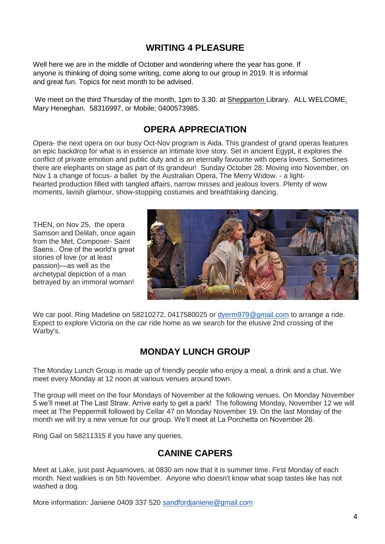## **WRITING 4 PLEASURE**

Well here we are in the middle of October and wondering where the year has gone. If anyone is thinking of doing some writing, come along to our group in 2019. It is informal and great fun. Topics for next month to be advised.

We meet on the third Thursday of the month, 1pm to 3.30. at Shepparton Library. ALL WELCOME. Mary Heneghan. 58316997, or Mobile; 0400573985.

#### **OPERA APPRECIATION**

Opera- the next opera on our busy Oct-Nov program is Aida. This grandest of grand operas features an epic backdrop for what is in essence an intimate love story. Set in ancient Egypt, it explores the conflict of private emotion and public duty and is an eternally favourite with opera lovers. Sometimes there are elephants on stage as part of its grandeur! Sunday October 28. Moving into November, on Nov 1 a change of focus- a ballet by the Australian Opera, The Merry Widow. - a lighthearted production filled with tangled affairs, narrow misses and jealous lovers. Plenty of wow moments, lavish glamour, show-stopping costumes and breathtaking dancing,

THEN, on Nov 25, the opera Samson and Delilah, once again from the Met, Composer- Saint Saens.. One of the world's great stories of love (or at least passion)—as well as the archetypal depiction of a man betrayed by an immoral woman!



We car pool. Ring Madeline on 58210272, 0417580025 or [dyerm979@gmail.com](mailto:dyerm979@gmail.com) to arrange a ride. Expect to explore Victoria on the car ride home as we search for the elusive 2nd crossing of the Warby's.

## **MONDAY LUNCH GROUP**

The Monday Lunch Group is made up of friendly people who enjoy a meal, a drink and a chat. We meet every Monday at 12 noon at various venues around town.

The group will meet on the four Mondays of November at the following venues. On Monday November 5 we'll meet at The Last Straw. Arrive early to get a park! The following Monday, November 12 we will meet at The Peppermill followed by Cellar 47 on Monday November 19. On the last Monday of the month we will try a new venue for our group. We'll meet at La Porchetta on November 26.

Ring Gail on 58211315 if you have any queries.

#### **CANINE CAPERS**

Meet at Lake, just past Aquamoves, at 0830 am now that it is summer time. First Monday of each month. Next walkies is on 5th November. Anyone who doesn't know what soap tastes like has not washed a dog.

More information: Janiene 0409 337 520 [sandfordjaniene@gmail.com](mailto:sandfordjaniene@gmail.com)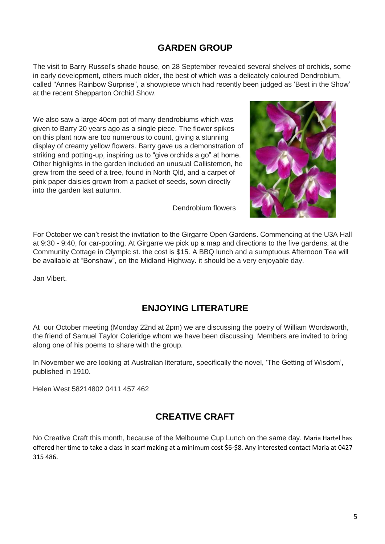## **GARDEN GROUP**

The visit to Barry Russel's shade house, on 28 September revealed several shelves of orchids, some in early development, others much older, the best of which was a delicately coloured Dendrobium, called "Annes Rainbow Surprise", a showpiece which had recently been judged as 'Best in the Show' at the recent Shepparton Orchid Show.

We also saw a large 40cm pot of many dendrobiums which was given to Barry 20 years ago as a single piece. The flower spikes on this plant now are too numerous to count, giving a stunning display of creamy yellow flowers. Barry gave us a demonstration of striking and potting-up, inspiring us to "give orchids a go" at home. Other highlights in the garden included an unusual Callistemon, he grew from the seed of a tree, found in North Qld, and a carpet of pink paper daisies grown from a packet of seeds, sown directly into the garden last autumn.

Dendrobium flowers



For October we can't resist the invitation to the Girgarre Open Gardens. Commencing at the U3A Hall at 9:30 - 9:40, for car-pooling. At Girgarre we pick up a map and directions to the five gardens, at the Community Cottage in Olympic st. the cost is \$15. A BBQ lunch and a sumptuous Afternoon Tea will be available at "Bonshaw", on the Midland Highway. it should be a very enjoyable day.

Jan Vibert.

# **ENJOYING LITERATURE**

At our October meeting (Monday 22nd at 2pm) we are discussing the poetry of William Wordsworth, the friend of Samuel Taylor Coleridge whom we have been discussing. Members are invited to bring along one of his poems to share with the group.

In November we are looking at Australian literature, specifically the novel, 'The Getting of Wisdom', published in 1910.

Helen West 58214802 0411 457 462

# **CREATIVE CRAFT**

No Creative Craft this month, because of the Melbourne Cup Lunch on the same day. Maria Hartel has offered her time to take a class in scarf making at a minimum cost \$6-\$8. Any interested contact Maria at 0427 315 486.